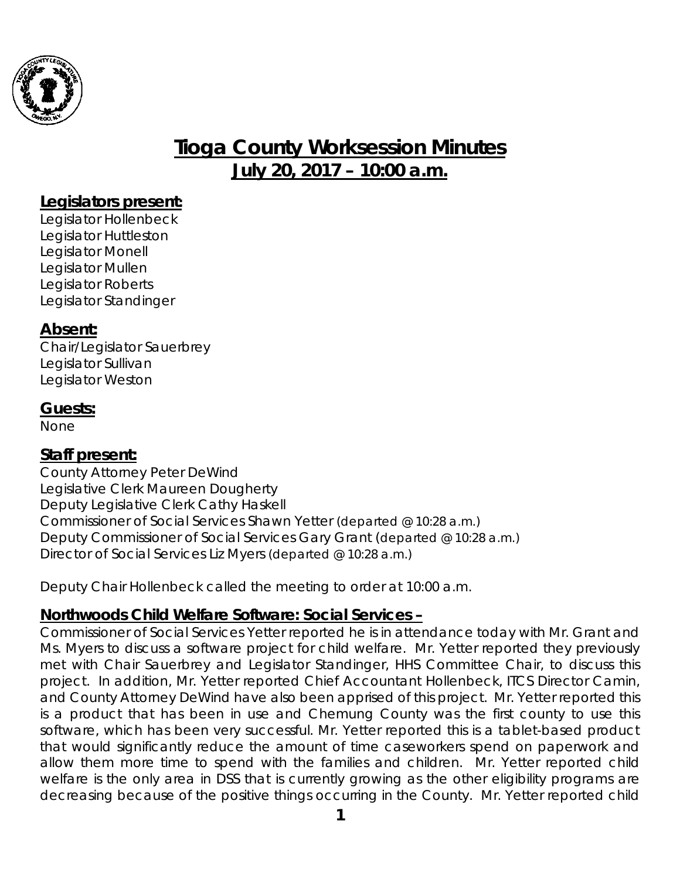

# **Tioga County Worksession Minutes July 20, 2017 – 10:00 a.m.**

#### **Legislators present:**

Legislator Hollenbeck Legislator Huttleston Legislator Monell Legislator Mullen Legislator Roberts Legislator Standinger

#### **Absent:**

Chair/Legislator Sauerbrey Legislator Sullivan Legislator Weston

#### **Guests:**

None

#### **Staff present:**

County Attorney Peter DeWind Legislative Clerk Maureen Dougherty Deputy Legislative Clerk Cathy Haskell Commissioner of Social Services Shawn Yetter *(departed @ 10:28 a.m.)* Deputy Commissioner of Social Services Gary Grant (*departed @ 10:28 a.m.)* Director of Social Services Liz Myers *(departed @ 10:28 a.m.)*

Deputy Chair Hollenbeck called the meeting to order at 10:00 a.m.

### **Northwoods Child Welfare Software: Social Services –**

Commissioner of Social Services Yetter reported he is in attendance today with Mr. Grant and Ms. Myers to discuss a software project for child welfare. Mr. Yetter reported they previously met with Chair Sauerbrey and Legislator Standinger, HHS Committee Chair, to discuss this project. In addition, Mr. Yetter reported Chief Accountant Hollenbeck, ITCS Director Camin, and County Attorney DeWind have also been apprised of this project. Mr. Yetter reported this is a product that has been in use and Chemung County was the first county to use this software, which has been very successful. Mr. Yetter reported this is a tablet-based product that would significantly reduce the amount of time caseworkers spend on paperwork and allow them more time to spend with the families and children. Mr. Yetter reported child welfare is the only area in DSS that is currently growing as the other eligibility programs are decreasing because of the positive things occurring in the County. Mr. Yetter reported child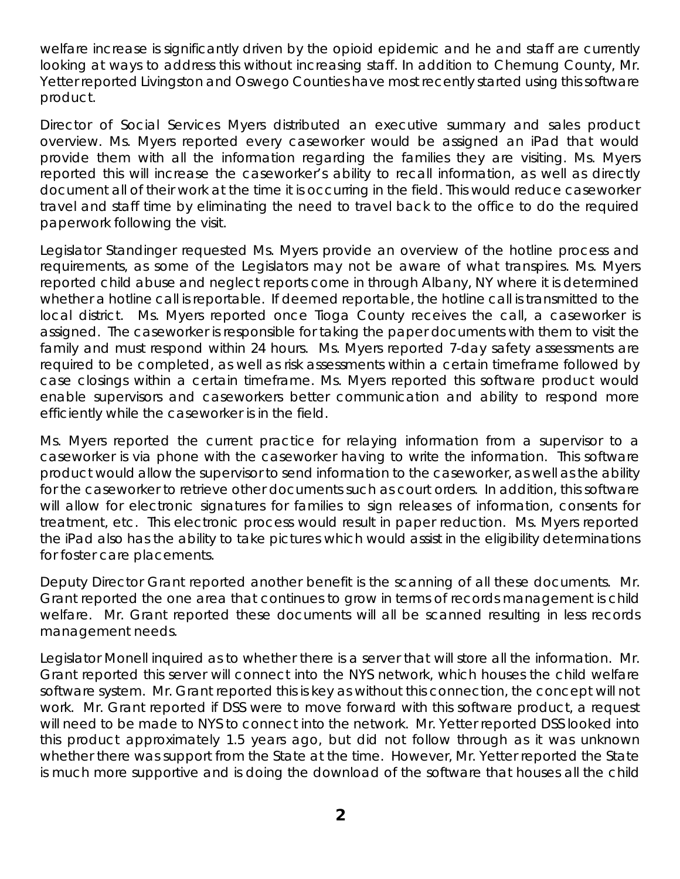welfare increase is significantly driven by the opioid epidemic and he and staff are currently looking at ways to address this without increasing staff. In addition to Chemung County, Mr. Yetter reported Livingston and Oswego Counties have most recently started using this software product.

Director of Social Services Myers distributed an executive summary and sales product overview. Ms. Myers reported every caseworker would be assigned an iPad that would provide them with all the information regarding the families they are visiting. Ms. Myers reported this will increase the caseworker's ability to recall information, as well as directly document all of their work at the time it is occurring in the field. This would reduce caseworker travel and staff time by eliminating the need to travel back to the office to do the required paperwork following the visit.

Legislator Standinger requested Ms. Myers provide an overview of the hotline process and requirements, as some of the Legislators may not be aware of what transpires. Ms. Myers reported child abuse and neglect reports come in through Albany, NY where it is determined whether a hotline call is reportable. If deemed reportable, the hotline call is transmitted to the local district. Ms. Myers reported once Tioga County receives the call, a caseworker is assigned. The caseworker is responsible for taking the paper documents with them to visit the family and must respond within 24 hours. Ms. Myers reported 7-day safety assessments are required to be completed, as well as risk assessments within a certain timeframe followed by case closings within a certain timeframe. Ms. Myers reported this software product would enable supervisors and caseworkers better communication and ability to respond more efficiently while the caseworker is in the field.

Ms. Myers reported the current practice for relaying information from a supervisor to a caseworker is via phone with the caseworker having to write the information. This software product would allow the supervisor to send information to the caseworker, as well as the ability for the caseworker to retrieve other documents such as court orders. In addition, this software will allow for electronic signatures for families to sign releases of information, consents for treatment, etc. This electronic process would result in paper reduction. Ms. Myers reported the iPad also has the ability to take pictures which would assist in the eligibility determinations for foster care placements.

Deputy Director Grant reported another benefit is the scanning of all these documents. Mr. Grant reported the one area that continues to grow in terms of records management is child welfare. Mr. Grant reported these documents will all be scanned resulting in less records management needs.

Legislator Monell inquired as to whether there is a server that will store all the information. Mr. Grant reported this server will connect into the NYS network, which houses the child welfare software system. Mr. Grant reported this is key as without this connection, the concept will not work. Mr. Grant reported if DSS were to move forward with this software product, a request will need to be made to NYS to connect into the network. Mr. Yetter reported DSS looked into this product approximately 1.5 years ago, but did not follow through as it was unknown whether there was support from the State at the time. However, Mr. Yetter reported the State is much more supportive and is doing the download of the software that houses all the child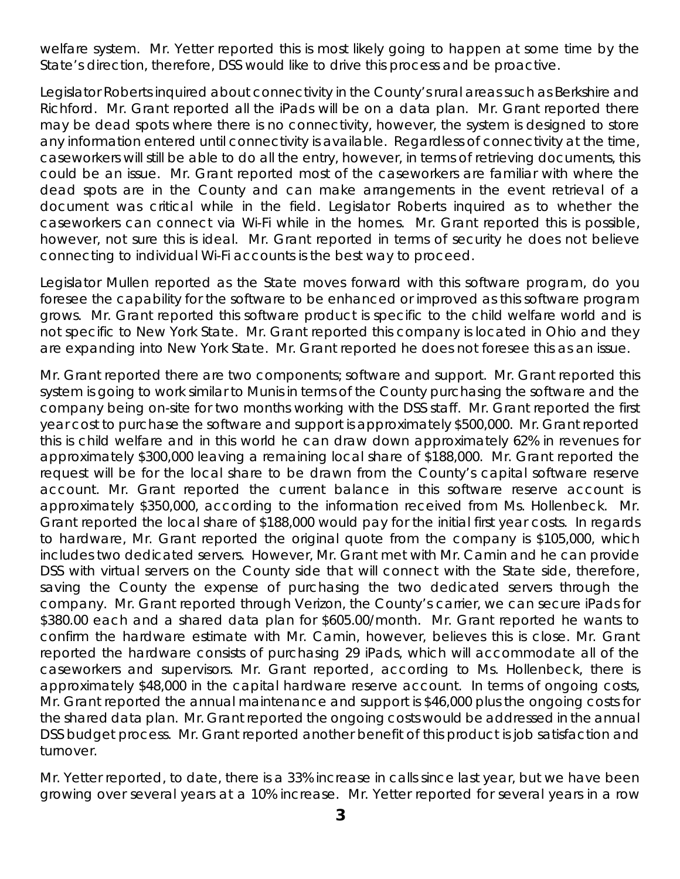welfare system. Mr. Yetter reported this is most likely going to happen at some time by the State's direction, therefore, DSS would like to drive this process and be proactive.

Legislator Roberts inquired about connectivity in the County's rural areas such as Berkshire and Richford. Mr. Grant reported all the iPads will be on a data plan. Mr. Grant reported there may be dead spots where there is no connectivity, however, the system is designed to store any information entered until connectivity is available. Regardless of connectivity at the time, caseworkers will still be able to do all the entry, however, in terms of retrieving documents, this could be an issue. Mr. Grant reported most of the caseworkers are familiar with where the dead spots are in the County and can make arrangements in the event retrieval of a document was critical while in the field. Legislator Roberts inquired as to whether the caseworkers can connect via Wi-Fi while in the homes. Mr. Grant reported this is possible, however, not sure this is ideal. Mr. Grant reported in terms of security he does not believe connecting to individual Wi-Fi accounts is the best way to proceed.

Legislator Mullen reported as the State moves forward with this software program, do you foresee the capability for the software to be enhanced or improved as this software program grows. Mr. Grant reported this software product is specific to the child welfare world and is not specific to New York State. Mr. Grant reported this company is located in Ohio and they are expanding into New York State. Mr. Grant reported he does not foresee this as an issue.

Mr. Grant reported there are two components; software and support. Mr. Grant reported this system is going to work similar to Munis in terms of the County purchasing the software and the company being on-site for two months working with the DSS staff. Mr. Grant reported the first year cost to purchase the software and support is approximately \$500,000. Mr. Grant reported this is child welfare and in this world he can draw down approximately 62% in revenues for approximately \$300,000 leaving a remaining local share of \$188,000. Mr. Grant reported the request will be for the local share to be drawn from the County's capital software reserve account. Mr. Grant reported the current balance in this software reserve account is approximately \$350,000, according to the information received from Ms. Hollenbeck. Mr. Grant reported the local share of \$188,000 would pay for the initial first year costs. In regards to hardware, Mr. Grant reported the original quote from the company is \$105,000, which includes two dedicated servers. However, Mr. Grant met with Mr. Camin and he can provide DSS with virtual servers on the County side that will connect with the State side, therefore, saving the County the expense of purchasing the two dedicated servers through the company. Mr. Grant reported through Verizon, the County's carrier, we can secure iPads for \$380.00 each and a shared data plan for \$605.00/month. Mr. Grant reported he wants to confirm the hardware estimate with Mr. Camin, however, believes this is close. Mr. Grant reported the hardware consists of purchasing 29 iPads, which will accommodate all of the caseworkers and supervisors. Mr. Grant reported, according to Ms. Hollenbeck, there is approximately \$48,000 in the capital hardware reserve account. In terms of ongoing costs, Mr. Grant reported the annual maintenance and support is \$46,000 plus the ongoing costs for the shared data plan. Mr. Grant reported the ongoing costs would be addressed in the annual DSS budget process. Mr. Grant reported another benefit of this product is job satisfaction and turnover.

Mr. Yetter reported, to date, there is a 33% increase in calls since last year, but we have been growing over several years at a 10% increase. Mr. Yetter reported for several years in a row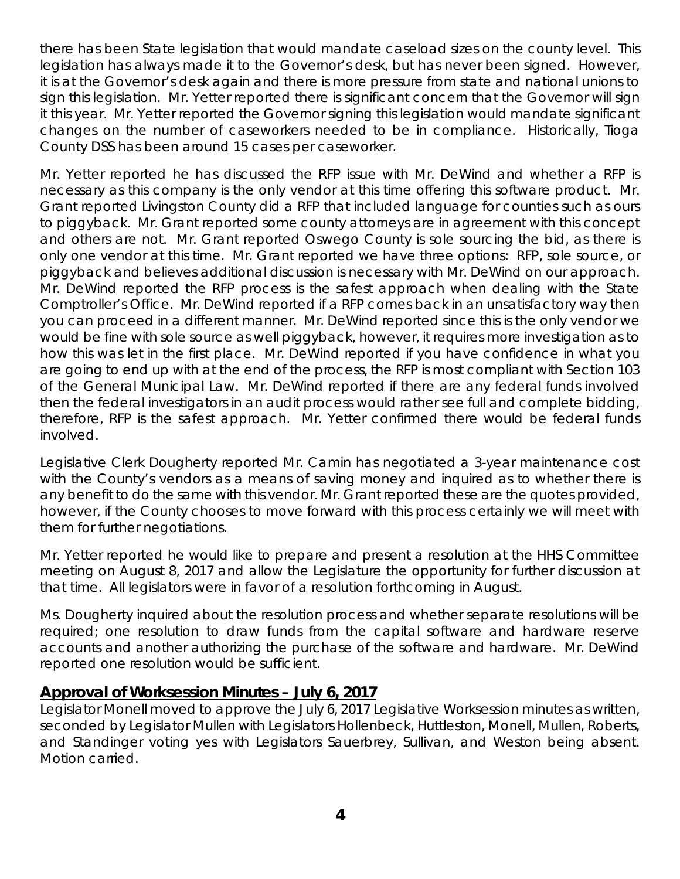there has been State legislation that would mandate caseload sizes on the county level. This legislation has always made it to the Governor's desk, but has never been signed. However, it is at the Governor's desk again and there is more pressure from state and national unions to sign this legislation. Mr. Yetter reported there is significant concern that the Governor will sign it this year. Mr. Yetter reported the Governor signing this legislation would mandate significant changes on the number of caseworkers needed to be in compliance. Historically, Tioga County DSS has been around 15 cases per caseworker.

Mr. Yetter reported he has discussed the RFP issue with Mr. DeWind and whether a RFP is necessary as this company is the only vendor at this time offering this software product. Mr. Grant reported Livingston County did a RFP that included language for counties such as ours to piggyback. Mr. Grant reported some county attorneys are in agreement with this concept and others are not. Mr. Grant reported Oswego County is sole sourcing the bid, as there is only one vendor at this time. Mr. Grant reported we have three options: RFP, sole source, or piggyback and believes additional discussion is necessary with Mr. DeWind on our approach. Mr. DeWind reported the RFP process is the safest approach when dealing with the State Comptroller's Office. Mr. DeWind reported if a RFP comes back in an unsatisfactory way then you can proceed in a different manner. Mr. DeWind reported since this is the only vendor we would be fine with sole source as well piggyback, however, it requires more investigation as to how this was let in the first place. Mr. DeWind reported if you have confidence in what you are going to end up with at the end of the process, the RFP is most compliant with Section 103 of the General Municipal Law. Mr. DeWind reported if there are any federal funds involved then the federal investigators in an audit process would rather see full and complete bidding, therefore, RFP is the safest approach. Mr. Yetter confirmed there would be federal funds involved.

Legislative Clerk Dougherty reported Mr. Camin has negotiated a 3-year maintenance cost with the County's vendors as a means of saving money and inquired as to whether there is any benefit to do the same with this vendor. Mr. Grant reported these are the quotes provided, however, if the County chooses to move forward with this process certainly we will meet with them for further negotiations.

Mr. Yetter reported he would like to prepare and present a resolution at the HHS Committee meeting on August 8, 2017 and allow the Legislature the opportunity for further discussion at that time. All legislators were in favor of a resolution forthcoming in August.

Ms. Dougherty inquired about the resolution process and whether separate resolutions will be required; one resolution to draw funds from the capital software and hardware reserve accounts and another authorizing the purchase of the software and hardware. Mr. DeWind reported one resolution would be sufficient.

#### **Approval of Worksession Minutes – July 6, 2017**

Legislator Monell moved to approve the July 6, 2017 Legislative Worksession minutes as written, seconded by Legislator Mullen with Legislators Hollenbeck, Huttleston, Monell, Mullen, Roberts, and Standinger voting yes with Legislators Sauerbrey, Sullivan, and Weston being absent. Motion carried.